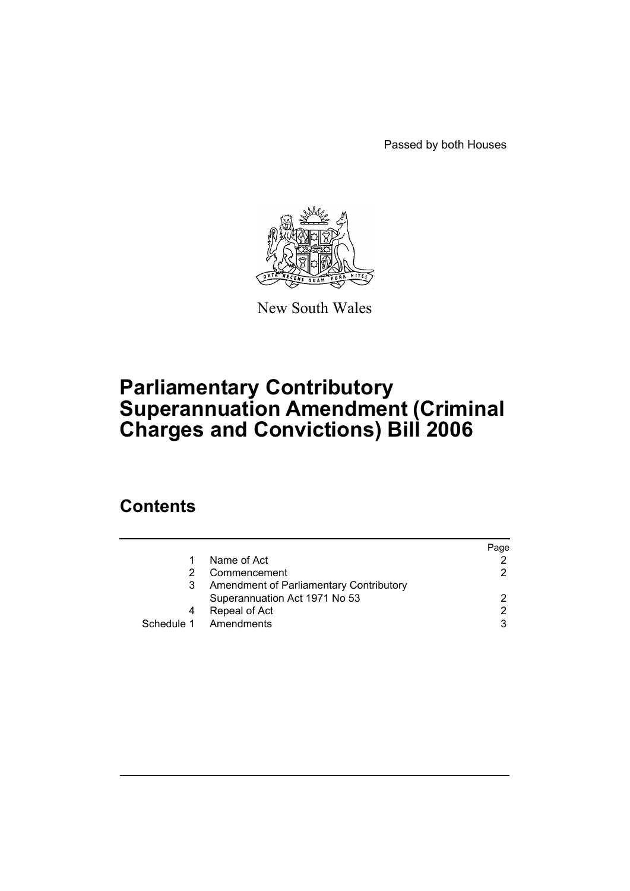Passed by both Houses



New South Wales

# **Parliamentary Contributory Superannuation Amendment (Criminal Charges and Convictions) Bill 2006**

## **Contents**

|   |                                         | Page          |
|---|-----------------------------------------|---------------|
|   | Name of Act                             |               |
| 2 | Commencement                            | 2             |
| 3 | Amendment of Parliamentary Contributory |               |
|   | Superannuation Act 1971 No 53           | 2             |
|   | Repeal of Act                           | $\mathcal{P}$ |
|   | Schedule 1 Amendments                   | 3             |
|   |                                         |               |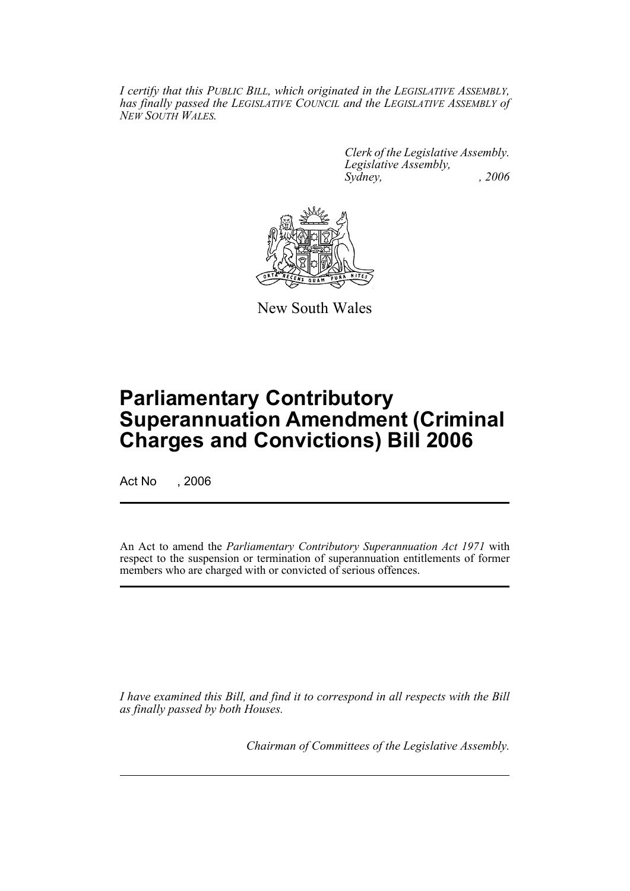*I certify that this PUBLIC BILL, which originated in the LEGISLATIVE ASSEMBLY, has finally passed the LEGISLATIVE COUNCIL and the LEGISLATIVE ASSEMBLY of NEW SOUTH WALES.*

> *Clerk of the Legislative Assembly. Legislative Assembly, Sydney, , 2006*



New South Wales

## **Parliamentary Contributory Superannuation Amendment (Criminal Charges and Convictions) Bill 2006**

Act No , 2006

An Act to amend the *Parliamentary Contributory Superannuation Act 1971* with respect to the suspension or termination of superannuation entitlements of former members who are charged with or convicted of serious offences.

*I have examined this Bill, and find it to correspond in all respects with the Bill as finally passed by both Houses.*

*Chairman of Committees of the Legislative Assembly.*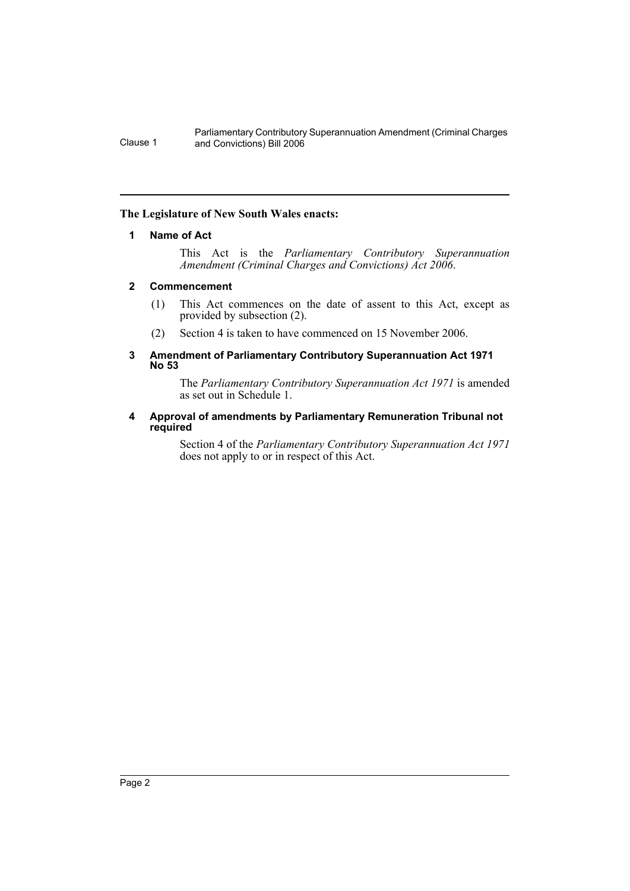Parliamentary Contributory Superannuation Amendment (Criminal Charges Clause 1 and Convictions) Bill 2006

### **The Legislature of New South Wales enacts:**

### **1 Name of Act**

This Act is the *Parliamentary Contributory Superannuation Amendment (Criminal Charges and Convictions) Act 2006*.

### **2 Commencement**

- (1) This Act commences on the date of assent to this Act, except as provided by subsection (2).
- (2) Section 4 is taken to have commenced on 15 November 2006.

### **3 Amendment of Parliamentary Contributory Superannuation Act 1971 No 53**

The *Parliamentary Contributory Superannuation Act 1971* is amended as set out in Schedule 1.

### **4 Approval of amendments by Parliamentary Remuneration Tribunal not required**

Section 4 of the *Parliamentary Contributory Superannuation Act 1971* does not apply to or in respect of this Act.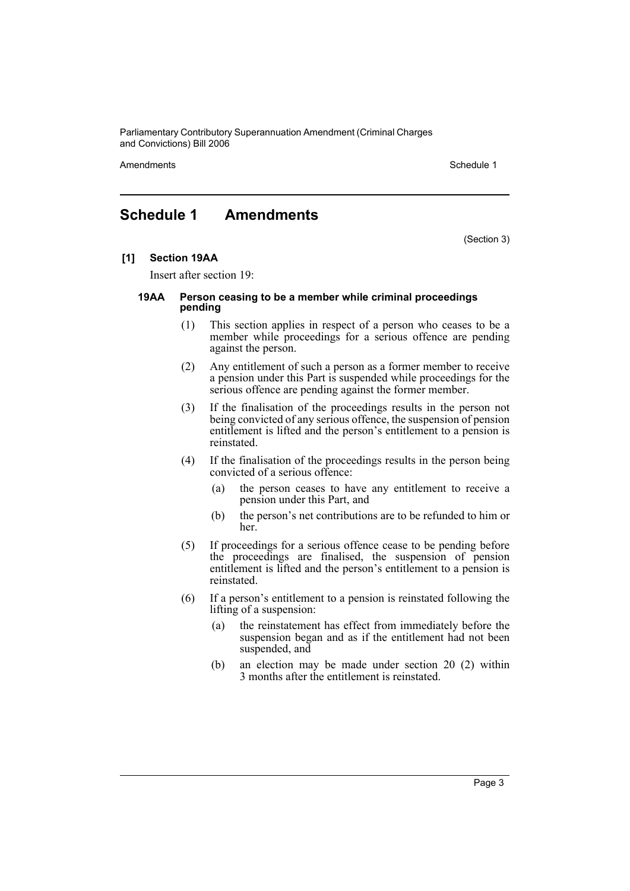Parliamentary Contributory Superannuation Amendment (Criminal Charges and Convictions) Bill 2006

Amendments **Amendments** Schedule 1

### **Schedule 1 Amendments**

(Section 3)

### **[1] Section 19AA**

Insert after section 19:

#### **19AA Person ceasing to be a member while criminal proceedings pending**

- (1) This section applies in respect of a person who ceases to be a member while proceedings for a serious offence are pending against the person.
- (2) Any entitlement of such a person as a former member to receive a pension under this Part is suspended while proceedings for the serious offence are pending against the former member.
- (3) If the finalisation of the proceedings results in the person not being convicted of any serious offence, the suspension of pension entitlement is lifted and the person's entitlement to a pension is reinstated.
- (4) If the finalisation of the proceedings results in the person being convicted of a serious offence:
	- (a) the person ceases to have any entitlement to receive a pension under this Part, and
	- (b) the person's net contributions are to be refunded to him or her.
- (5) If proceedings for a serious offence cease to be pending before the proceedings are finalised, the suspension of pension entitlement is lifted and the person's entitlement to a pension is reinstated.
- (6) If a person's entitlement to a pension is reinstated following the lifting of a suspension:
	- (a) the reinstatement has effect from immediately before the suspension began and as if the entitlement had not been suspended, and
	- (b) an election may be made under section 20 (2) within 3 months after the entitlement is reinstated.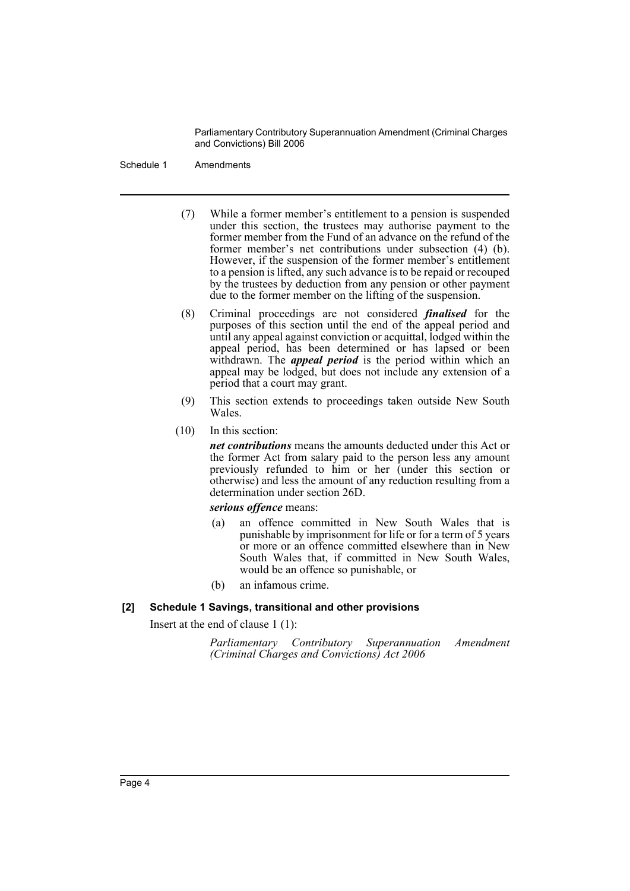Parliamentary Contributory Superannuation Amendment (Criminal Charges and Convictions) Bill 2006

Schedule 1 Amendments

- (7) While a former member's entitlement to a pension is suspended under this section, the trustees may authorise payment to the former member from the Fund of an advance on the refund of the former member's net contributions under subsection (4) (b). However, if the suspension of the former member's entitlement to a pension is lifted, any such advance is to be repaid or recouped by the trustees by deduction from any pension or other payment due to the former member on the lifting of the suspension.
- (8) Criminal proceedings are not considered *finalised* for the purposes of this section until the end of the appeal period and until any appeal against conviction or acquittal, lodged within the appeal period, has been determined or has lapsed or been withdrawn. The *appeal period* is the period within which an appeal may be lodged, but does not include any extension of a period that a court may grant.
- (9) This section extends to proceedings taken outside New South Wales.
- (10) In this section:

*net contributions* means the amounts deducted under this Act or the former Act from salary paid to the person less any amount previously refunded to him or her (under this section or otherwise) and less the amount of any reduction resulting from a determination under section 26D.

### *serious offence* means:

- (a) an offence committed in New South Wales that is punishable by imprisonment for life or for a term of 5 years or more or an offence committed elsewhere than in New South Wales that, if committed in New South Wales, would be an offence so punishable, or
- (b) an infamous crime.

### **[2] Schedule 1 Savings, transitional and other provisions**

Insert at the end of clause 1 (1):

*Parliamentary Contributory Superannuation Amendment (Criminal Charges and Convictions) Act 2006*